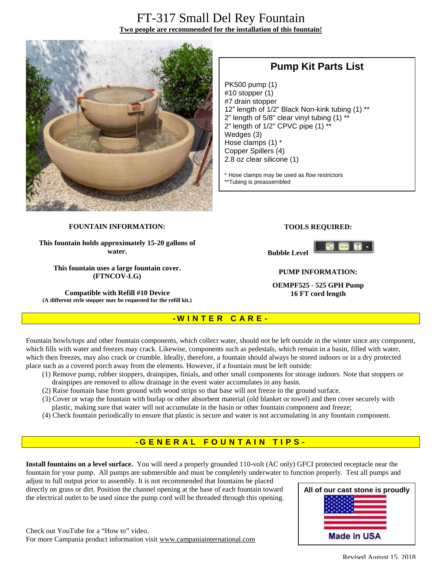## FT-317 Small Del Rey Fountain **Two people are recommended for the installation of this fountain!**



## **Pump Kit Parts List**

PK500 pump (1) #10 stopper (1) #7 drain stopper 12" length of 1/2" Black Non-kink tubing (1) \*\* 2" length of  $5/8$ " clear vinyl tubing  $(1)$  \* 2" length of 1/2" CPVC pipe (1) \*\* Wedges (3) Hose clamps (1) \* Copper Spillers (4) 2.8 oz clear silicone (1)

\* Hose clamps may be used as flow restrictors \*\*Tubing is preassembled

#### **FOUNTAIN INFORMATION:**

**This fountain holds approximately 15-20 gallons of water.** 

**This fountain uses a large fountain cover. (FTNCOV-LG)** 

**Compatible with Refill #10 Device (A different style stopper may be requested for the refill kit.)**

#### **TOOLS REQUIRED:**





#### **PUMP INFORMATION:**

**OEMPF525 - 525 GPH Pump 16 FT cord length**

# **- W I N T E R C A R E -**

Fountain bowls/tops and other fountain components, which collect water, should not be left outside in the winter since any component, which fills with water and freezes may crack. Likewise, components such as pedestals, which remain in a basin, filled with water, which then freezes, may also crack or crumble. Ideally, therefore, a fountain should always be stored indoors or in a dry protected place such as a covered porch away from the elements. However, if a fountain must be left outside:

- (1) Remove pump, rubber stoppers, drainpipes, finials, and other small components for storage indoors. Note that stoppers or drainpipes are removed to allow drainage in the event water accumulates in any basin.
- (2) Raise fountain base from ground with wood strips so that base will not freeze to the ground surface.
- (3) Cover or wrap the fountain with burlap or other absorbent material (old blanket or towel) and then cover securely with plastic, making sure that water will not accumulate in the basin or other fountain component and freeze;
- (4) Check fountain periodically to ensure that plastic is secure and water is not accumulating in any fountain component.

### **- G ENE R A L F O U N T A I N T I P S -**

**Install fountains on a level surface.** You will need a properly grounded 110-volt (AC only) GFCI protected receptacle near the fountain for your pump. All pumps are submersible and must be completely underwater to function properly. Test all pumps and adjust to full output prior to assembly. It is not recommended that fountains be placed

directly on grass or dirt. Position the channel opening at the base of each fountain toward the electrical outlet to be used since the pump cord will be threaded through this opening.

Check out YouTube for a "How to" video. For more Campania product information visit [www.campaniainternational.com](http://www.campaniainternational.com)